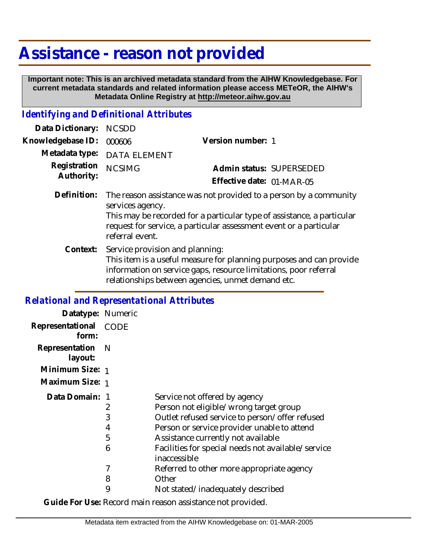## **Assistance - reason not provided**

 **Important note: This is an archived metadata standard from the AIHW Knowledgebase. For current metadata standards and related information please access METeOR, the AIHW's Metadata Online Registry at http://meteor.aihw.gov.au**

## *Identifying and Definitional Attributes*

| Data Dictionary:           | <b>NCSDD</b>                                                                                                                                                                                                                                             |                           |  |
|----------------------------|----------------------------------------------------------------------------------------------------------------------------------------------------------------------------------------------------------------------------------------------------------|---------------------------|--|
| Knowledgebase ID:          | 000606                                                                                                                                                                                                                                                   | Version number: 1         |  |
| Metadata type:             | <b>DATA ELEMENT</b>                                                                                                                                                                                                                                      |                           |  |
| Registration<br>Authority: | <b>NCSIMG</b>                                                                                                                                                                                                                                            | Admin status: SUPERSEDED  |  |
|                            |                                                                                                                                                                                                                                                          | Effective date: 01-MAR-05 |  |
| Definition:                | The reason assistance was not provided to a person by a community<br>services agency.<br>This may be recorded for a particular type of assistance, a particular<br>request for service, a particular assessment event or a particular<br>referral event. |                           |  |
| Context:                   | Service provision and planning:<br>This item is a useful measure for planning purposes and can provide<br>information on service gaps, resource limitations, poor referral<br>relationships between agencies, unmet demand etc.                          |                           |  |

## *Relational and Representational Attributes*

| Datatype: Numeric              |   |                                                                    |
|--------------------------------|---|--------------------------------------------------------------------|
| Representational CODE<br>form: |   |                                                                    |
| Representation N<br>layout:    |   |                                                                    |
| Minimum Size: 1                |   |                                                                    |
| Maximum Size: 1                |   |                                                                    |
| Data Domain: 1                 |   | Service not offered by agency                                      |
|                                | 2 | Person not eligible/wrong target group                             |
|                                | 3 | Outlet refused service to person/offer refused                     |
|                                | 4 | Person or service provider unable to attend                        |
|                                | 5 | Assistance currently not available                                 |
|                                | 6 | Facilities for special needs not available/service<br>inaccessible |
|                                | 7 | Referred to other more appropriate agency                          |
|                                | 8 | Other                                                              |
|                                | 9 | Not stated/inadequately described                                  |
|                                |   |                                                                    |

**Guide For Use:** Record main reason assistance not provided.